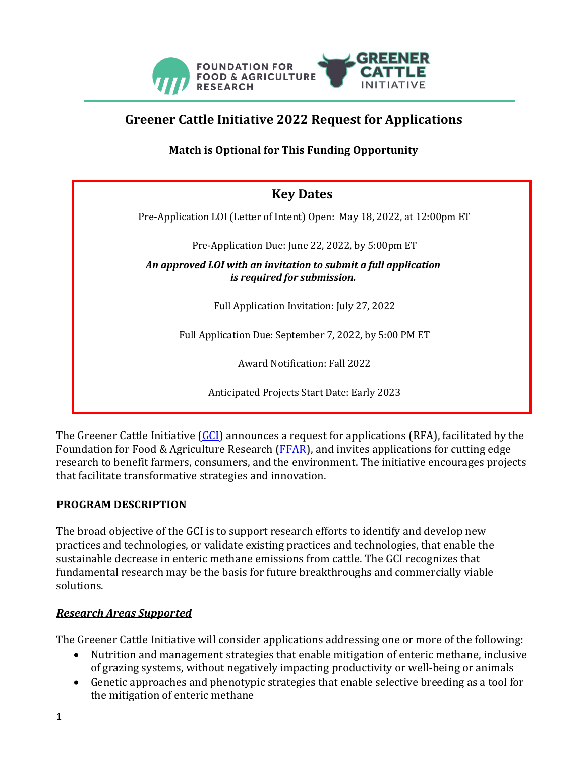

# **Greener Cattle Initiative 2022 Request for Applications**

<span id="page-0-0"></span>**Match is Optional for This Funding Opportunity**

| <b>Key Dates</b>                                                                               |
|------------------------------------------------------------------------------------------------|
| Pre-Application LOI (Letter of Intent) Open: May 18, 2022, at 12:00pm ET                       |
| Pre-Application Due: June 22, 2022, by 5:00pm ET                                               |
| An approved LOI with an invitation to submit a full application<br>is required for submission. |
| Full Application Invitation: July 27, 2022                                                     |
| Full Application Due: September 7, 2022, by 5:00 PM ET                                         |
| <b>Award Notification: Fall 2022</b>                                                           |
| Anticipated Projects Start Date: Early 2023                                                    |

The Greener Cattle Initiative [\(GCI\)](https://foundationfar.org/consortia/greener-cattle-initiative/?gclid=CjwKCAjw7IeUBhBbEiwADhiEMce71L4vOrYPzXc8yhlQrOHF6bSqkm--I97hZpRpgsMPLBnci4EwERoCFqcQAvD_BwE) announces a request for applications (RFA), facilitated by the Foundation for Food & Agriculture Research ( $FFAR$ ), and invites applications for cutting edge research to benefit farmers, consumers, and the environment. The initiative encourages projects that facilitate transformative strategies and innovation.

### **PROGRAM DESCRIPTION**

The broad objective of the GCI is to support research efforts to identify and develop new practices and technologies, or validate existing practices and technologies, that enable the sustainable decrease in enteric methane emissions from cattle. The GCI recognizes that fundamental research may be the basis for future breakthroughs and commercially viable solutions.

### *Research Areas Supported*

The Greener Cattle Initiative will consider applications addressing one or more of the following:

- Nutrition and management strategies that enable mitigation of enteric methane, inclusive of grazing systems, without negatively impacting productivity or well-being or animals
- Genetic approaches and phenotypic strategies that enable selective breeding as a tool for the mitigation of enteric methane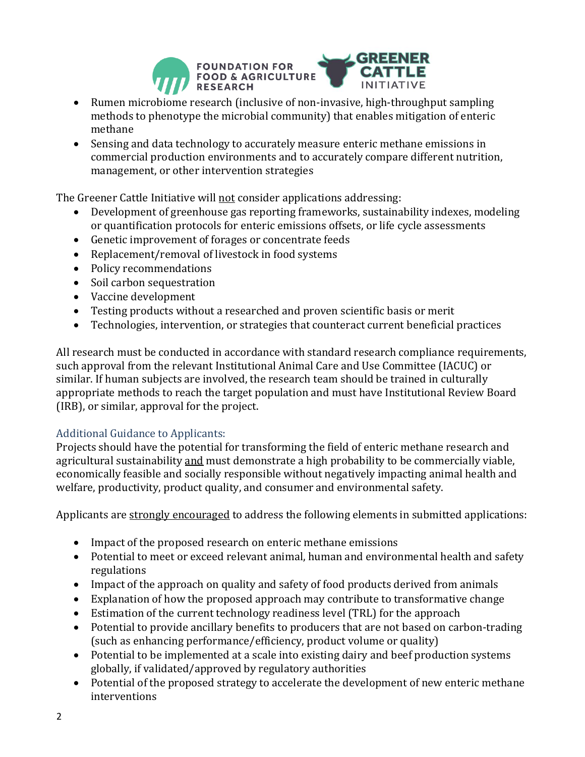

- Rumen microbiome research (inclusive of non-invasive, high-throughput sampling methods to phenotype the microbial community) that enables mitigation of enteric methane
- Sensing and data technology to accurately measure enteric methane emissions in commercial production environments and to accurately compare different nutrition, management, or other intervention strategies

The Greener Cattle Initiative will not consider applications addressing:

- Development of greenhouse gas reporting frameworks, sustainability indexes, modeling or quantification protocols for enteric emissions offsets, or life cycle assessments
- Genetic improvement of forages or concentrate feeds
- Replacement/removal of livestock in food systems
- Policy recommendations
- Soil carbon sequestration
- Vaccine development
- Testing products without a researched and proven scientific basis or merit
- Technologies, intervention, or strategies that counteract current beneficial practices

All research must be conducted in accordance with standard research compliance requirements, such approval from the relevant Institutional Animal Care and Use Committee (IACUC) or similar. If human subjects are involved, the research team should be trained in culturally appropriate methods to reach the target population and must have Institutional Review Board (IRB), or similar, approval for the project.

### Additional Guidance to Applicants:

Projects should have the potential for transforming the field of enteric methane research and agricultural sustainability and must demonstrate a high probability to be commercially viable, economically feasible and socially responsible without negatively impacting animal health and welfare, productivity, product quality, and consumer and environmental safety.

Applicants are strongly encouraged to address the following elements in submitted applications:

- Impact of the proposed research on enteric methane emissions
- Potential to meet or exceed relevant animal, human and environmental health and safety regulations
- Impact of the approach on quality and safety of food products derived from animals
- Explanation of how the proposed approach may contribute to transformative change
- Estimation of the current technology readiness level (TRL) for the approach
- Potential to provide ancillary benefits to producers that are not based on carbon-trading (such as enhancing performance/efficiency, product volume or quality)
- Potential to be implemented at a scale into existing dairy and beef production systems globally, if validated/approved by regulatory authorities
- Potential of the proposed strategy to accelerate the development of new enteric methane interventions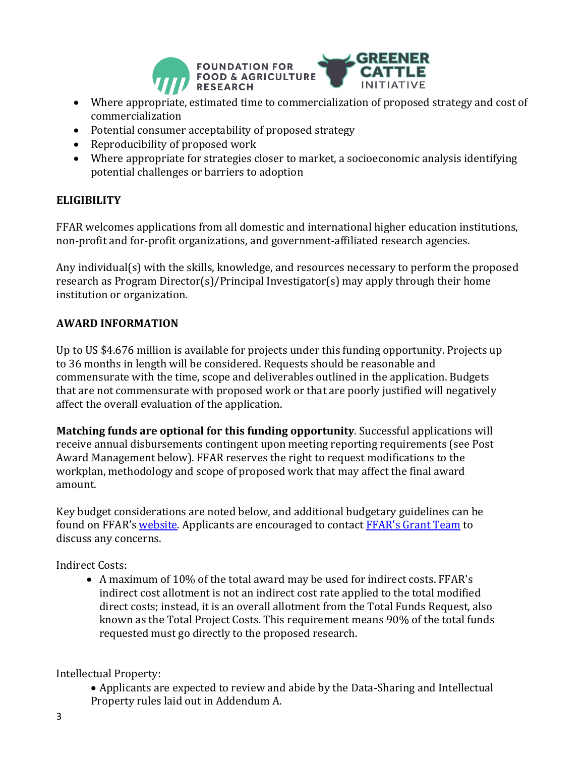

- Where appropriate, estimated time to commercialization of proposed strategy and cost of commercialization
- Potential consumer acceptability of proposed strategy
- Reproducibility of proposed work
- Where appropriate for strategies closer to market, a socioeconomic analysis identifying potential challenges or barriers to adoption

# **ELIGIBILITY**

FFAR welcomes applications from all domestic and international higher education institutions, non-profit and for-profit organizations, and government-affiliated research agencies.

Any individual(s) with the skills, knowledge, and resources necessary to perform the proposed research as Program Director(s)/Principal Investigator(s) may apply through their home institution or organization.

## **AWARD INFORMATION**

Up to US \$4.676 million is available for projects under this funding opportunity. Projects up to 36 months in length will be considered. Requests should be reasonable and commensurate with the time, scope and deliverables outlined in the application. Budgets that are not commensurate with proposed work or that are poorly justified will negatively affect the overall evaluation of the application.

**Matching funds are optional for this funding opportunity**. Successful applications will receive annual disbursements contingent upon meeting reporting requirements (see Post Award Management below). FFAR reserves the right to request modifications to the workplan, methodology and scope of proposed work that may affect the final award amount.

Key budget considerations are noted below, and additional budgetary guidelines can be found on FFAR's [website.](https://foundationfar.org/grants-funding/resources/forms-and-examples/) Applicants are encouraged to contact [FFAR's Grant Team](mailto:grants@foundationfar.org) to discuss any concerns.

Indirect Costs:

• A maximum of 10% of the total award may be used for indirect costs. FFAR's indirect cost allotment is not an indirect cost rate applied to the total modified direct costs; instead, it is an overall allotment from the Total Funds Request, also known as the Total Project Costs. This requirement means 90% of the total funds requested must go directly to the proposed research.

Intellectual Property:

• Applicants are expected to review and abide by the Data-Sharing and Intellectual Property rules laid out in Addendum A.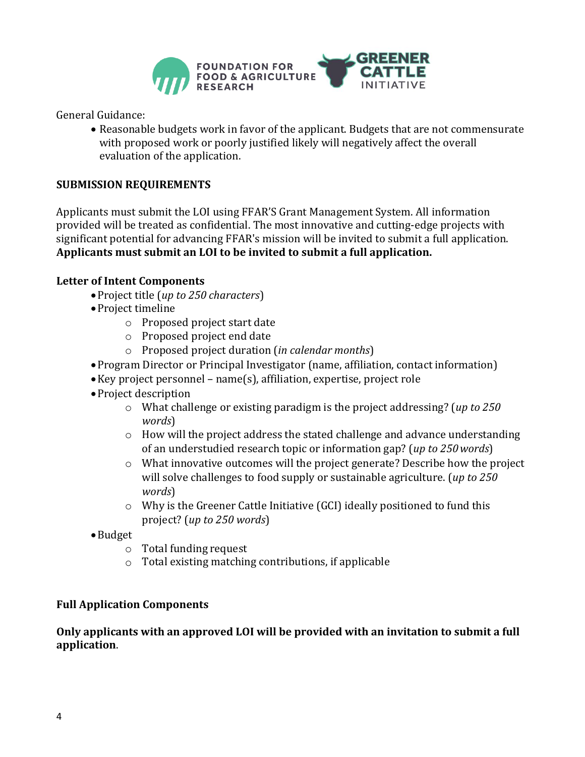

General Guidance:

• Reasonable budgets work in favor of the applicant. Budgets that are not commensurate with proposed work or poorly justified likely will negatively affect the overall evaluation of the application.

### **SUBMISSION REQUIREMENTS**

Applicants must submit the LOI using FFAR'S Grant Management System. All information provided will be treated as confidential. The most innovative and cutting-edge projects with significant potential for advancing FFAR's mission will be invited to submit a full application. **Applicants must submit an LOI to be invited to submit a full application.** 

#### **Letter of Intent Components**

- •Project title (*up to 250 characters*)
- •Project timeline
	- o Proposed project start date
	- o Proposed project end date
	- o Proposed project duration (*in calendar months*)
- •Program Director or Principal Investigator (name, affiliation, contact information)
- •Key project personnel name(s), affiliation, expertise, project role
- •Project description
	- o What challenge or existing paradigm is the project addressing? (*up to 250 words*)
	- $\circ$  How will the project address the stated challenge and advance understanding of an understudied research topic or information gap? (*up to 250words*)
	- o What innovative outcomes will the project generate? Describe how the project will solve challenges to food supply or sustainable agriculture. (*up to 250 words*)
	- o Why is the Greener Cattle Initiative (GCI) ideally positioned to fund this project? (*up to 250 words*)
- •Budget
	- o Total funding request
	- o Total existing matching contributions, if applicable

#### **Full Application Components**

#### **Only applicants with an approved LOI will be provided with an invitation to submit a full application**.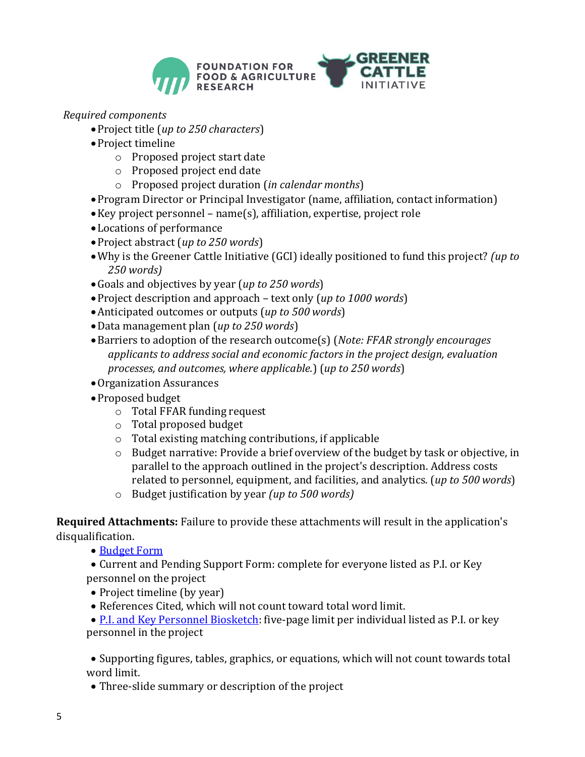

- *Required components*
	- •Project title (*up to 250 characters*)
	- •Project timeline
		- o Proposed project start date
		- o Proposed project end date
		- o Proposed project duration (*in calendar months*)
	- •Program Director or Principal Investigator (name, affiliation, contact information)
	- •Key project personnel name(s), affiliation, expertise, project role
	- •Locations of performance
	- •Project abstract (*up to 250 words*)
	- •Why is the Greener Cattle Initiative (GCI) ideally positioned to fund this project? *(up to 250 words)*
	- •Goals and objectives by year (*up to 250 words*)
	- •Project description and approach text only (*up to 1000 words*)
	- •Anticipated outcomes or outputs (*up to 500 words*)
	- •Data management plan (*up to 250 words*)
	- •Barriers to adoption of the research outcome(s) (*Note: FFAR strongly encourages applicants to address social and economic factors in the project design, evaluation processes, and outcomes, where applicable.*) (*up to 250 words*)
	- •Organization Assurances
	- •Proposed budget
		- $\circ$  Total FFAR funding request
		- o Total proposed budget
		- $\circ$  Total existing matching contributions, if applicable
		- $\circ$  Budget narrative: Provide a brief overview of the budget by task or objective, in parallel to the approach outlined in the project's description. Address costs related to personnel, equipment, and facilities, and analytics. (*up to 500 words*)
		- o Budget justification by year *(up to 500 words)*

**Required Attachments:** Failure to provide these attachments will result in the application's disqualification.

• [Budget](http://foundationfar.org/grants/applicant-resources/sample-forms/) Form

• Current and Pending Support Form: complete for everyone listed as P.I. or Key personnel on the project

- Project timeline (by year)
- References Cited, which will not count toward total word limit.

• [P.I. and Key Personnel Biosketch:](http://foundationfar.org/grants/applicant-resources/biosketch-instructions/) five-page limit per individual listed as P.I. or key personnel in the project

• Supporting figures, tables, graphics, or equations, which will not count towards total word limit.

• Three-slide summary or description of the project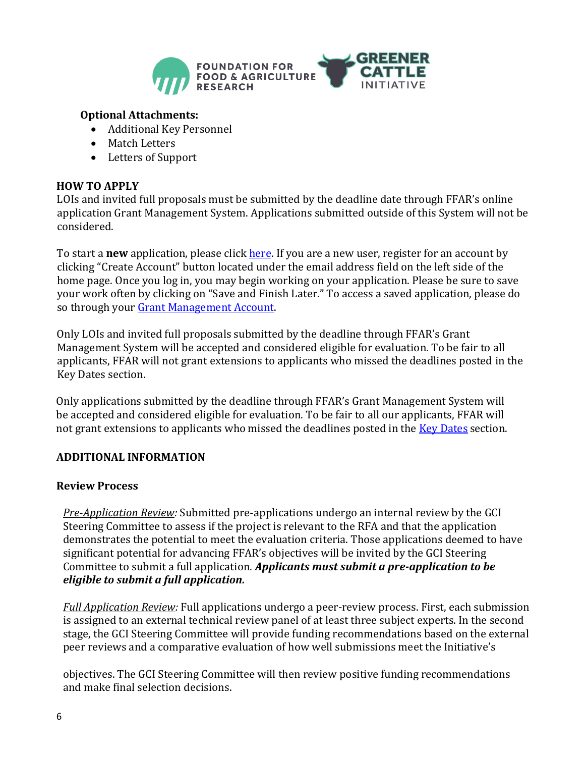

#### **Optional Attachments:**

- Additional Key Personnel
- Match Letters
- Letters of Support

#### **HOW TO APPLY**

LOIs and invited full proposals must be submitted by the deadline date through FFAR's online application Grant Management System. Applications submitted outside of this System will not be considered.

To start a **new** application, please click **here**. If you are a new user, register for an account by clicking "Create Account" button located under the email address field on the left side of the home page. Once you log in, you may begin working on your application. Please be sure to save your work often by clicking on "Save and Finish Later." To access a saved application, please do so through your [Grant Management Account.](https://www.grantrequest.com/SID_6242)

Only LOIs and invited full proposals submitted by the deadline through FFAR's Grant Management System will be accepted and considered eligible for evaluation. To be fair to all applicants, FFAR will not grant extensions to applicants who missed the deadlines posted in the Key Dates section.

Only applications submitted by the deadline through FFAR's Grant Management System will be accepted and considered eligible for evaluation. To be fair to all our applicants, FFAR will not grant extensions to applicants who missed the deadlines posted in the **Key Dates section**.

### **ADDITIONAL INFORMATION**

#### **Review Process**

*Pre-Application Review:* Submitted pre-applications undergo an internal review by the GCI Steering Committee to assess if the project is relevant to the RFA and that the application demonstrates the potential to meet the evaluation criteria. Those applications deemed to have significant potential for advancing FFAR's objectives will be invited by the GCI Steering Committee to submit a full application. *Applicants must submit a pre-application to be eligible to submit a full application.*

*Full Application Review:* Full applications undergo a peer-review process. First, each submission is assigned to an external technical review panel of at least three subject experts. In the second stage, the GCI Steering Committee will provide funding recommendations based on the external peer reviews and a comparative evaluation of how well submissions meet the Initiative's

objectives. The GCI Steering Committee will then review positive funding recommendations and make final selection decisions.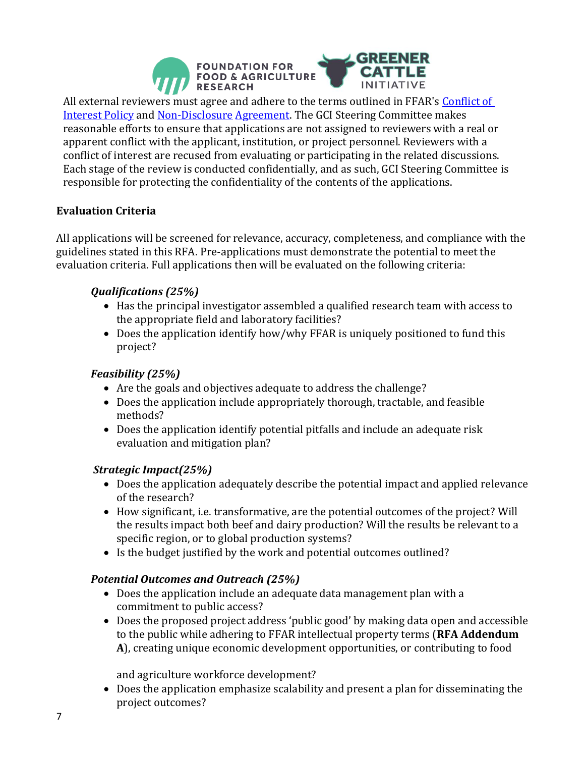

All external reviewers must agree and adhere to the terms outlined in FFAR's [Conflict of](http://foundationfar.org/grants/reviewer-resources/conflict-of-interest/)  [Interest Policy](http://foundationfar.org/grants/reviewer-resources/conflict-of-interest/) an[d Non-Disclosure](http://foundationfar.org/grants/reviewer-resources/non-disclosure/) [Agreement.](http://foundationfar.org/grants/reviewer-resources/non-disclosure/) The GCI Steering Committee makes reasonable efforts to ensure that applications are not assigned to reviewers with a real or apparent conflict with the applicant, institution, or project personnel. Reviewers with a conflict of interest are recused from evaluating or participating in the related discussions. Each stage of the review is conducted confidentially, and as such, GCI Steering Committee is responsible for protecting the confidentiality of the contents of the applications.

### **Evaluation Criteria**

All applications will be screened for relevance, accuracy, completeness, and compliance with the guidelines stated in this RFA. Pre-applications must demonstrate the potential to meet the evaluation criteria. Full applications then will be evaluated on the following criteria:

### *Qualifications (25%)*

- Has the principal investigator assembled a qualified research team with access to the appropriate field and laboratory facilities?
- Does the application identify how/why FFAR is uniquely positioned to fund this project?

### *Feasibility (25%)*

- Are the goals and objectives adequate to address the challenge?
- Does the application include appropriately thorough, tractable, and feasible methods?
- Does the application identify potential pitfalls and include an adequate risk evaluation and mitigation plan?

#### *Strategic Impact(25%)*

- Does the application adequately describe the potential impact and applied relevance of the research?
- How significant, i.e. transformative, are the potential outcomes of the project? Will the results impact both beef and dairy production? Will the results be relevant to a specific region, or to global production systems?
- Is the budget justified by the work and potential outcomes outlined?

### *Potential Outcomes and Outreach (25%)*

- Does the application include an adequate data management plan with a commitment to public access?
- Does the proposed project address 'public good' by making data open and accessible to the public while adhering to FFAR intellectual property terms (**RFA Addendum A**), creating unique economic development opportunities, or contributing to food

and agriculture workforce development?

• Does the application emphasize scalability and present a plan for disseminating the project outcomes?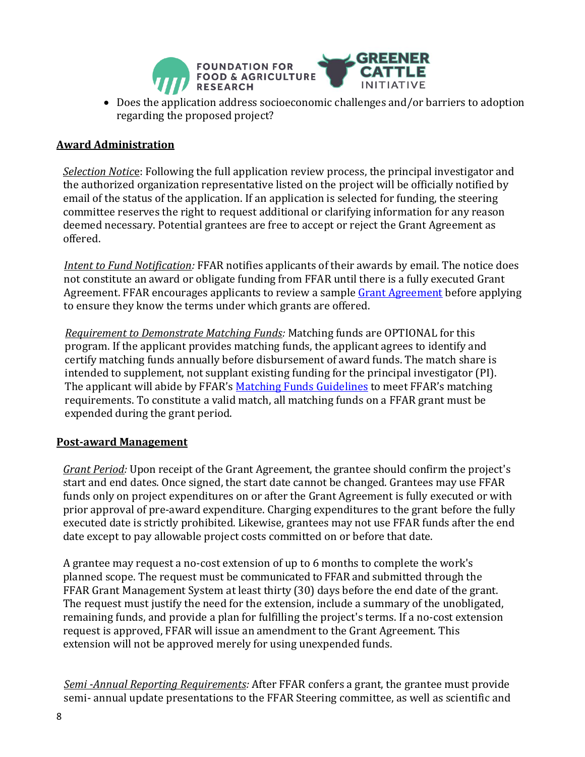

• Does the application address socioeconomic challenges and/or barriers to adoption regarding the proposed project?

### **Award Administration**

*Selection Notic*e: Following the full application review process, the principal investigator and the authorized organization representative listed on the project will be officially notified by email of the status of the application. If an application is selected for funding, the steering committee reserves the right to request additional or clarifying information for any reason deemed necessary. Potential grantees are free to accept or reject the Grant Agreement as offered.

*Intent to Fund Notification:* FFAR notifies applicants of their awards by email. The notice does not constitute an award or obligate funding from FFAR until there is a fully executed Grant Agreement. FFAR encourages applicants to review a sample [Grant Agreement](https://foundationfar.org/grants-funding/resources/forms-and-examples/) before applying to ensure they know the terms under which grants are offered.

*Requirement to Demonstrate Matching Funds:* Matching funds are OPTIONAL for this program. If the applicant provides matching funds, the applicant agrees to identify and certify matching funds annually before disbursement of award funds. The match share is intended to supplement, not supplant existing funding for the principal investigator (PI). The applicant will abide by FFAR's [Matching Funds Guidelines](https://foundationfar.org/grants-funding/resources/matching-funds/) to meet FFAR's matching requirements. To constitute a valid match, all matching funds on a FFAR grant must be expended during the grant period.

#### **Post-award Management**

*Grant Period:* Upon receipt of the Grant Agreement, the grantee should confirm the project's start and end dates. Once signed, the start date cannot be changed. Grantees may use FFAR funds only on project expenditures on or after the Grant Agreement is fully executed or with prior approval of pre-award expenditure. Charging expenditures to the grant before the fully executed date is strictly prohibited. Likewise, grantees may not use FFAR funds after the end date except to pay allowable project costs committed on or before that date.

A grantee may request a no-cost extension of up to 6 months to complete the work's planned scope. The request must be communicated to FFAR and submitted through the FFAR Grant Management System at least thirty (30) days before the end date of the grant. The request must justify the need for the extension, include a summary of the unobligated, remaining funds, and provide a plan for fulfilling the project's terms. If a no-cost extension request is approved, FFAR will issue an amendment to the Grant Agreement. This extension will not be approved merely for using unexpended funds.

*Semi -Annual Reporting Requirements:* After FFAR confers a grant, the grantee must provide semi- annual update presentations to the FFAR Steering committee, as well as scientific and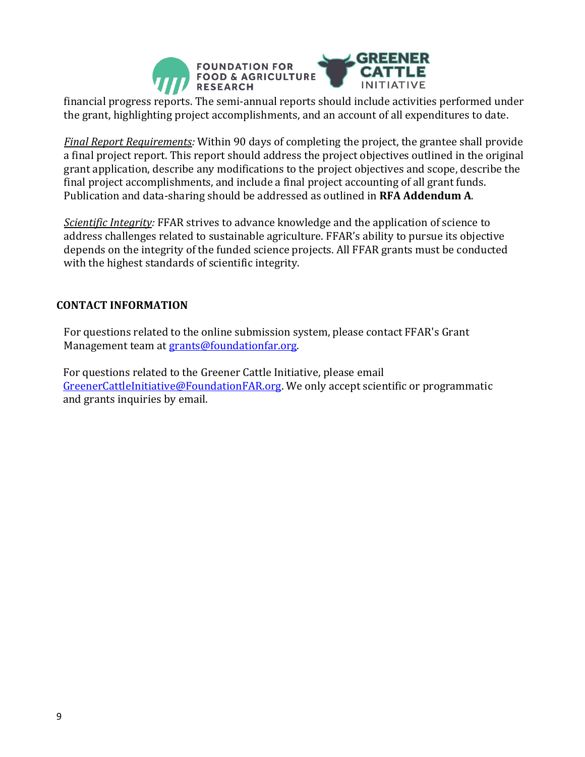

financial progress reports. The semi-annual reports should include activities performed under the grant, highlighting project accomplishments, and an account of all expenditures to date.

*Final Report Requirements:* Within 90 days of completing the project, the grantee shall provide a final project report. This report should address the project objectives outlined in the original grant application, describe any modifications to the project objectives and scope, describe the final project accomplishments, and include a final project accounting of all grant funds. Publication and data-sharing should be addressed as outlined in **RFA Addendum A**.

*Scientific Integrity:* FFAR strives to advance knowledge and the application of science to address challenges related to sustainable agriculture. FFAR's ability to pursue its objective depends on the integrity of the funded science projects. All FFAR grants must be conducted with the highest standards of scientific integrity.

#### **CONTACT INFORMATION**

For questions related to the online submission system, please contact FFAR's Grant Management team at [grants@foundationfar.org.](mailto:grants@foundationfar.org)

For questions related to the Greener Cattle Initiative, please email [GreenerCattleInitiative@FoundationFAR.org.](mailto:GreenerCattleInitiative@FoundationFAR.org) We only accept scientific or programmatic and grants inquiries by email.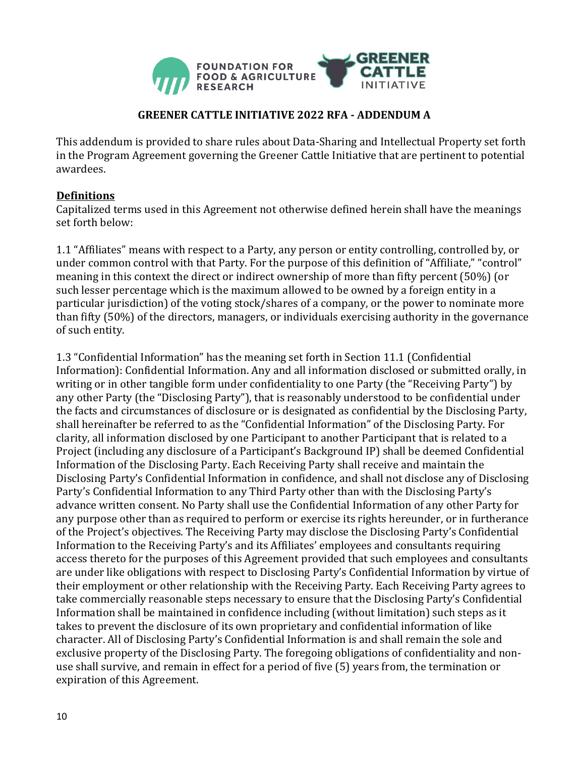

### **GREENER CATTLE INITIATIVE 2022 RFA - ADDENDUM A**

This addendum is provided to share rules about Data-Sharing and Intellectual Property set forth in the Program Agreement governing the Greener Cattle Initiative that are pertinent to potential awardees.

#### **Definitions**

Capitalized terms used in this Agreement not otherwise defined herein shall have the meanings set forth below:

1.1 "Affiliates" means with respect to a Party, any person or entity controlling, controlled by, or under common control with that Party. For the purpose of this definition of "Affiliate," "control" meaning in this context the direct or indirect ownership of more than fifty percent (50%) (or such lesser percentage which is the maximum allowed to be owned by a foreign entity in a particular jurisdiction) of the voting stock/shares of a company, or the power to nominate more than fifty (50%) of the directors, managers, or individuals exercising authority in the governance of such entity.

1.3 "Confidential Information" has the meaning set forth in Section 11.1 (Confidential Information): Confidential Information. Any and all information disclosed or submitted orally, in writing or in other tangible form under confidentiality to one Party (the "Receiving Party") by any other Party (the "Disclosing Party"), that is reasonably understood to be confidential under the facts and circumstances of disclosure or is designated as confidential by the Disclosing Party, shall hereinafter be referred to as the "Confidential Information" of the Disclosing Party. For clarity, all information disclosed by one Participant to another Participant that is related to a Project (including any disclosure of a Participant's Background IP) shall be deemed Confidential Information of the Disclosing Party. Each Receiving Party shall receive and maintain the Disclosing Party's Confidential Information in confidence, and shall not disclose any of Disclosing Party's Confidential Information to any Third Party other than with the Disclosing Party's advance written consent. No Party shall use the Confidential Information of any other Party for any purpose other than as required to perform or exercise its rights hereunder, or in furtherance of the Project's objectives. The Receiving Party may disclose the Disclosing Party's Confidential Information to the Receiving Party's and its Affiliates' employees and consultants requiring access thereto for the purposes of this Agreement provided that such employees and consultants are under like obligations with respect to Disclosing Party's Confidential Information by virtue of their employment or other relationship with the Receiving Party. Each Receiving Party agrees to take commercially reasonable steps necessary to ensure that the Disclosing Party's Confidential Information shall be maintained in confidence including (without limitation) such steps as it takes to prevent the disclosure of its own proprietary and confidential information of like character. All of Disclosing Party's Confidential Information is and shall remain the sole and exclusive property of the Disclosing Party. The foregoing obligations of confidentiality and nonuse shall survive, and remain in effect for a period of five (5) years from, the termination or expiration of this Agreement.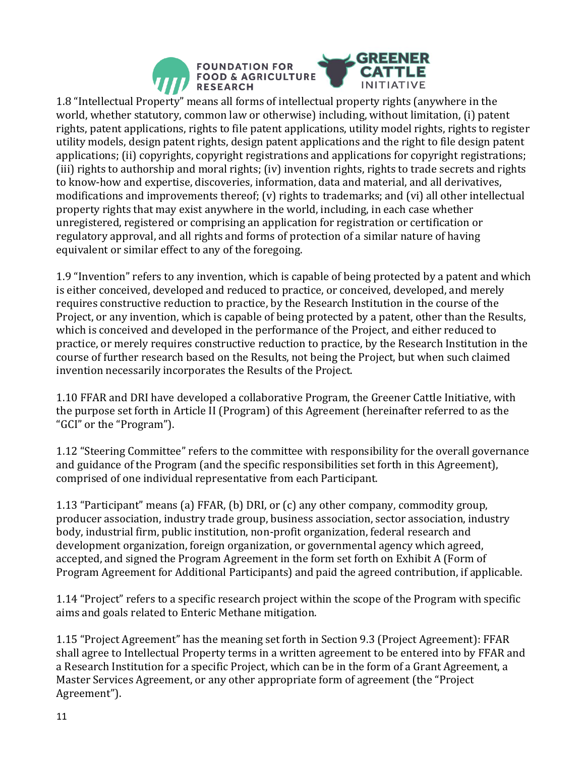

1.8 "Intellectual Property" means all forms of intellectual property rights (anywhere in the world, whether statutory, common law or otherwise) including, without limitation, (i) patent rights, patent applications, rights to file patent applications, utility model rights, rights to register utility models, design patent rights, design patent applications and the right to file design patent applications; (ii) copyrights, copyright registrations and applications for copyright registrations; (iii) rights to authorship and moral rights; (iv) invention rights, rights to trade secrets and rights to know-how and expertise, discoveries, information, data and material, and all derivatives, modifications and improvements thereof; (v) rights to trademarks; and (vi) all other intellectual property rights that may exist anywhere in the world, including, in each case whether unregistered, registered or comprising an application for registration or certification or regulatory approval, and all rights and forms of protection of a similar nature of having equivalent or similar effect to any of the foregoing.

1.9 "Invention" refers to any invention, which is capable of being protected by a patent and which is either conceived, developed and reduced to practice, or conceived, developed, and merely requires constructive reduction to practice, by the Research Institution in the course of the Project, or any invention, which is capable of being protected by a patent, other than the Results, which is conceived and developed in the performance of the Project, and either reduced to practice, or merely requires constructive reduction to practice, by the Research Institution in the course of further research based on the Results, not being the Project, but when such claimed invention necessarily incorporates the Results of the Project.

1.10 FFAR and DRI have developed a collaborative Program, the Greener Cattle Initiative, with the purpose set forth in Article II (Program) of this Agreement (hereinafter referred to as the "GCI" or the "Program").

1.12 "Steering Committee" refers to the committee with responsibility for the overall governance and guidance of the Program (and the specific responsibilities set forth in this Agreement), comprised of one individual representative from each Participant.

1.13 "Participant" means (a) FFAR, (b) DRI, or (c) any other company, commodity group, producer association, industry trade group, business association, sector association, industry body, industrial firm, public institution, non-profit organization, federal research and development organization, foreign organization, or governmental agency which agreed, accepted, and signed the Program Agreement in the form set forth on Exhibit A (Form of Program Agreement for Additional Participants) and paid the agreed contribution, if applicable.

1.14 "Project" refers to a specific research project within the scope of the Program with specific aims and goals related to Enteric Methane mitigation.

1.15 "Project Agreement" has the meaning set forth in Section 9.3 (Project Agreement): FFAR shall agree to Intellectual Property terms in a written agreement to be entered into by FFAR and a Research Institution for a specific Project, which can be in the form of a Grant Agreement, a Master Services Agreement, or any other appropriate form of agreement (the "Project Agreement").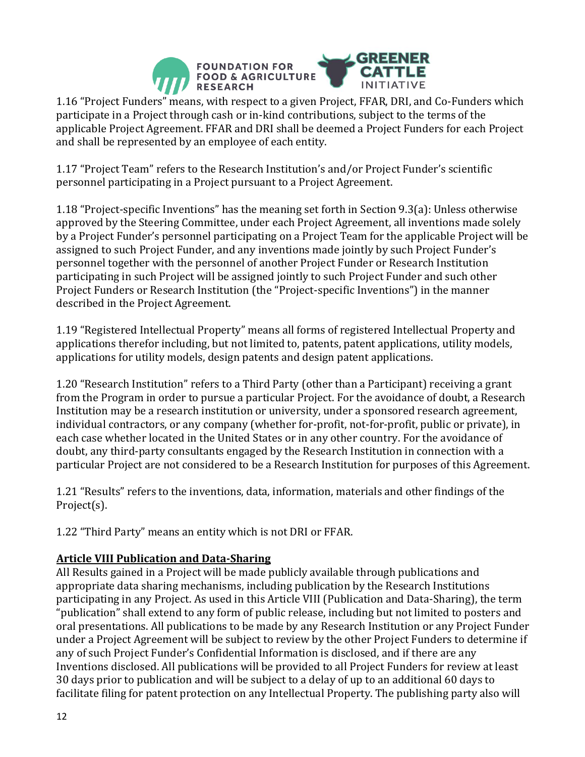

1.16 "Project Funders" means, with respect to a given Project, FFAR, DRI, and Co-Funders which participate in a Project through cash or in-kind contributions, subject to the terms of the applicable Project Agreement. FFAR and DRI shall be deemed a Project Funders for each Project and shall be represented by an employee of each entity.

1.17 "Project Team" refers to the Research Institution's and/or Project Funder's scientific personnel participating in a Project pursuant to a Project Agreement.

1.18 "Project-specific Inventions" has the meaning set forth in Section 9.3(a): Unless otherwise approved by the Steering Committee, under each Project Agreement, all inventions made solely by a Project Funder's personnel participating on a Project Team for the applicable Project will be assigned to such Project Funder, and any inventions made jointly by such Project Funder's personnel together with the personnel of another Project Funder or Research Institution participating in such Project will be assigned jointly to such Project Funder and such other Project Funders or Research Institution (the "Project-specific Inventions") in the manner described in the Project Agreement.

1.19 "Registered Intellectual Property" means all forms of registered Intellectual Property and applications therefor including, but not limited to, patents, patent applications, utility models, applications for utility models, design patents and design patent applications.

1.20 "Research Institution" refers to a Third Party (other than a Participant) receiving a grant from the Program in order to pursue a particular Project. For the avoidance of doubt, a Research Institution may be a research institution or university, under a sponsored research agreement, individual contractors, or any company (whether for-profit, not-for-profit, public or private), in each case whether located in the United States or in any other country. For the avoidance of doubt, any third-party consultants engaged by the Research Institution in connection with a particular Project are not considered to be a Research Institution for purposes of this Agreement.

1.21 "Results" refers to the inventions, data, information, materials and other findings of the Project(s).

1.22 "Third Party" means an entity which is not DRI or FFAR.

### **Article VIII Publication and Data-Sharing**

All Results gained in a Project will be made publicly available through publications and appropriate data sharing mechanisms, including publication by the Research Institutions participating in any Project. As used in this Article VIII (Publication and Data-Sharing), the term "publication" shall extend to any form of public release, including but not limited to posters and oral presentations. All publications to be made by any Research Institution or any Project Funder under a Project Agreement will be subject to review by the other Project Funders to determine if any of such Project Funder's Confidential Information is disclosed, and if there are any Inventions disclosed. All publications will be provided to all Project Funders for review at least 30 days prior to publication and will be subject to a delay of up to an additional 60 days to facilitate filing for patent protection on any Intellectual Property. The publishing party also will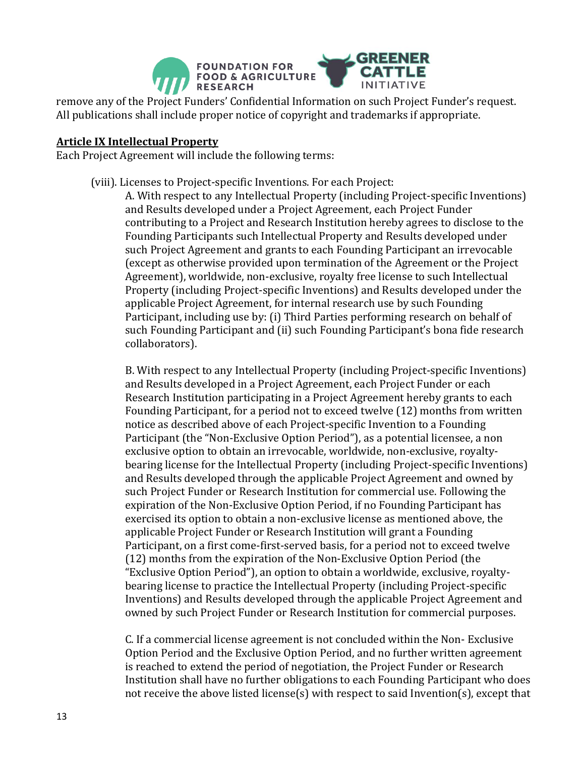

remove any of the Project Funders' Confidential Information on such Project Funder's request. All publications shall include proper notice of copyright and trademarks if appropriate.

#### **Article IX Intellectual Property**

Each Project Agreement will include the following terms:

(viii). Licenses to Project-specific Inventions. For each Project:

A. With respect to any Intellectual Property (including Project-specific Inventions) and Results developed under a Project Agreement, each Project Funder contributing to a Project and Research Institution hereby agrees to disclose to the Founding Participants such Intellectual Property and Results developed under such Project Agreement and grants to each Founding Participant an irrevocable (except as otherwise provided upon termination of the Agreement or the Project Agreement), worldwide, non-exclusive, royalty free license to such Intellectual Property (including Project-specific Inventions) and Results developed under the applicable Project Agreement, for internal research use by such Founding Participant, including use by: (i) Third Parties performing research on behalf of such Founding Participant and (ii) such Founding Participant's bona fide research collaborators).

B. With respect to any Intellectual Property (including Project-specific Inventions) and Results developed in a Project Agreement, each Project Funder or each Research Institution participating in a Project Agreement hereby grants to each Founding Participant, for a period not to exceed twelve (12) months from written notice as described above of each Project-specific Invention to a Founding Participant (the "Non-Exclusive Option Period"), as a potential licensee, a non exclusive option to obtain an irrevocable, worldwide, non-exclusive, royaltybearing license for the Intellectual Property (including Project-specific Inventions) and Results developed through the applicable Project Agreement and owned by such Project Funder or Research Institution for commercial use. Following the expiration of the Non-Exclusive Option Period, if no Founding Participant has exercised its option to obtain a non-exclusive license as mentioned above, the applicable Project Funder or Research Institution will grant a Founding Participant, on a first come-first-served basis, for a period not to exceed twelve (12) months from the expiration of the Non-Exclusive Option Period (the "Exclusive Option Period"), an option to obtain a worldwide, exclusive, royaltybearing license to practice the Intellectual Property (including Project-specific Inventions) and Results developed through the applicable Project Agreement and owned by such Project Funder or Research Institution for commercial purposes.

C. If a commercial license agreement is not concluded within the Non- Exclusive Option Period and the Exclusive Option Period, and no further written agreement is reached to extend the period of negotiation, the Project Funder or Research Institution shall have no further obligations to each Founding Participant who does not receive the above listed license(s) with respect to said Invention(s), except that